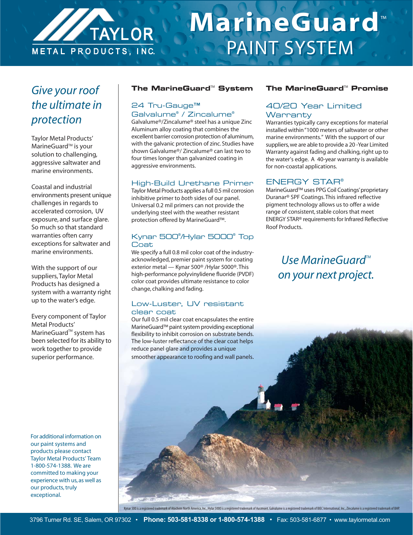

# **MarineGuard** ™ **MarineGuard** ™ PAINT SYSTEM PAINT SYSTEM

# *Give your roof the ultimate in protection*

Taylor Metal Products' MarineGuard<sup>™</sup> is your solution to challenging, aggressive saltwater and marine environments.

Coastal and industrial environments present unique challenges in regards to accelerated corrosion, UV exposure, and surface glare. So much so that standard warranties often carry exceptions for saltwater and marine environments.

With the support of our suppliers, Taylor Metal Products has designed a system with a warranty right up to the water's edge.

Every component of Taylor Metal Products' MarineGuard<sup>™</sup> system has been selected for its ability to work together to provide superior performance.

For additional information on our paint systems and products please contact Taylor Metal Products' Team 1-800-574-1388. We are committed to making your experience with us, as well as our products, truly exceptional.

#### **The MarineGuard<sup>™</sup> System**

## 24 Tru-Gauge™ Galvalume® / Zincalume®

Galvalume®/Zincalume® steel has a unique Zinc Aluminum alloy coating that combines the excellent barrier corrosion protection of aluminum, with the galvanic protection of zinc. Studies have shown Galvalume®/ Zincalume® can last two to four times longer than galvanized coating in aggressive environments.

#### High-Build Urethane Primer

Taylor Metal Products applies a full 0.5 mil corrosion inhibitive primer to *both* sides of our panel. Universal 0.2 mil primers can not provide the underlying steel with the weather resistant protection offered by MarineGuard™.

#### Kynar 500® /Hylar 5000® Top **Coat**

We specify a full 0.8 mil color coat of the industryacknowledged, premier paint system for coating exterior metal — Kynar 500® /Hylar 5000®. This high-performance polyvinylidene fluoride (PVDF) color coat provides ultimate resistance to color change, chalking and fading.

#### Low-Luster, UV resistant clear coat

Our full 0.5 mil clear coat encapsulates the entire MarineGuard™ paint system providing exceptional flexibility to inhibit corrosion on substrate bends. The low-luster reflectance of the clear coat helps reduce panel glare and provides a unique smoother appearance to roofing and wall panels.

#### **The MarineGuard™ Promise**

## 40/20 Year Limited **Warranty**

Warranties typically carry exceptions for material installed within "1000 meters of saltwater or other marine environments." With the support of our suppliers, we are able to provide a 20 -Year Limited Warranty against fading and chalking, right up to the water's edge. A 40-year warranty is available for non-coastal applications.

#### ENERGY STAR®

MarineGuard™ uses PPG Coil Coatings' proprietary Duranar® SPF Coatings. This infrared reflective pigment technology allows us to offer a wide range of consistent, stable colors that meet ENERGY STAR® requirements for Infrared Reflective Roof Products.

# *Use MarineGuard*<sup>™</sup> *on your next project.*

Kynar 500 is a registered trademark of Atochem North America, Inc., Hylar 5000 is a registered trademark of Ausimont. Galvalume is a registered trademark of BIEC International, Inc., Zincalume is a registered trademark of